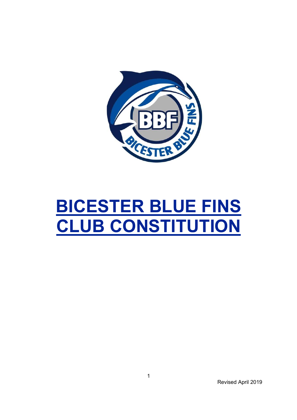

# BICESTER BLUE FINS CLUB CONSTITUTION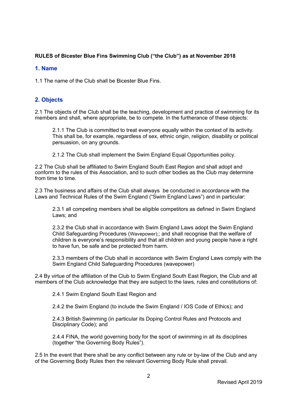# RULES of Bicester Blue Fins Swimming Club ("the Club") as at November 2018

## 1. Name

1.1 The name of the Club shall be Bicester Blue Fins.

# 2. Objects

2.1 The objects of the Club shall be the teaching, development and practice of swimming for its members and shall, where appropriate, be to compete. In the furtherance of these objects:

2.1.1 The Club is committed to treat everyone equally within the context of its activity. This shall be, for example, regardless of sex, ethnic origin, religion, disability or political persuasion, on any grounds.

2.1.2 The Club shall implement the Swim England Equal Opportunities policy.

2.2 The Club shall be affiliated to Swim England South East Region and shall adopt and conform to the rules of this Association, and to such other bodies as the Club may determine from time to time.

2.3 The business and affairs of the Club shall always be conducted in accordance with the Laws and Technical Rules of the Swim England ("Swim England Laws") and in particular:

2.3.1 all competing members shall be eligible competitors as defined in Swim England Laws; and

2.3.2 the Club shall in accordance with Swim England Laws adopt the Swim England Child Safeguarding Procedures (Wavepower);; and shall recognise that the welfare of children is everyone's responsibility and that all children and young people have a right to have fun, be safe and be protected from harm.

2.3.3 members of the Club shall in accordance with Swim England Laws comply with the Swim England Child Safeguarding Procedures (wavepower)

2.4 By virtue of the affiliation of the Club to Swim England South East Region, the Club and all members of the Club acknowledge that they are subject to the laws, rules and constitutions of:

2.4.1 Swim England South East Region and

2.4.2 the Swim England (to include the Swim England / IOS Code of Ethics); and

2.4.3 British Swimming (in particular its Doping Control Rules and Protocols and Disciplinary Code); and

2.4.4 FINA, the world governing body for the sport of swimming in all its disciplines (together "the Governing Body Rules").

2.5 In the event that there shall be any conflict between any rule or by-law of the Club and any of the Governing Body Rules then the relevant Governing Body Rule shall prevail.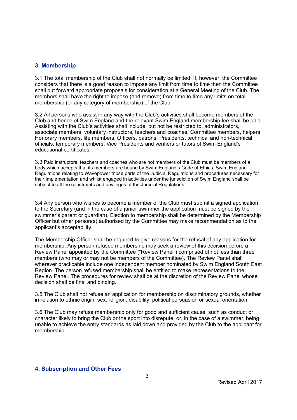#### 3. Membership

3.1 The total membership of the Club shall not normally be limited. If, however, the Committee considers that there is a good reason to impose any limit from time to time then the Committee shall put forward appropriate proposals for consideration at a General Meeting of the Club. The members shall have the right to impose (and remove) from time to time any limits on total membership (or any category of membership) of the Club.

3.2 All persons who assist in any way with the Club's activities shall become members of the Club and hence of Swim England and the relevant Swim England membership fee shall be paid. Assisting with the Club's activities shall include, but not be restricted to, administrators, associate members, voluntary instructors, teachers and coaches, Committee members, helpers, Honorary members, life members, Officers, patrons, Presidents, technical and non-technical officials, temporary members, Vice Presidents and verifiers or tutors of Swim England's educational certificates.

3.3 Paid instructors, teachers and coaches who are not members of the Club must be members of a body which accepts that its members are bound by Swim England's Code of Ethics, Swim England Regulations relating to Wavepower those parts of the Judicial Regulations and procedures necessary for their implementation and whilst engaged in activities under the jurisdiction of Swim England shall be subject to all the constraints and privileges of the Judicial Regulations.

3.4 Any person who wishes to become a member of the Club must submit a signed application to the Secretary (and in the case of a junior swimmer the application must be signed by the swimmer's parent or guardian). Election to membership shall be determined by the Membership Officer but other person(s) authorised by the Committee may make recommendation as to the applicant's acceptability.

The Membership Officer shall be required to give reasons for the refusal of any application for membership. Any person refused membership may seek a review of this decision before a Review Panel appointed by the Committee ("Review Panel") comprised of not less than three members (who may or may not be members of the Committee). The Review Panel shall wherever practicable include one independent member nominated by Swim England South East Region. The person refused membership shall be entitled to make representations to the Review Panel. The procedures for review shall be at the discretion of the Review Panel whose decision shall be final and binding.

3.5 The Club shall not refuse an application for membership on discriminatory grounds, whether in relation to ethnic origin, sex, religion, disability, political persuasion or sexual orientation.

3.6 The Club may refuse membership only for good and sufficient cause, such as conduct or character likely to bring the Club or the sport into disrepute, or, in the case of a swimmer, being unable to achieve the entry standards as laid down and provided by the Club to the applicant for membership.

## 4. Subscription and Other Fees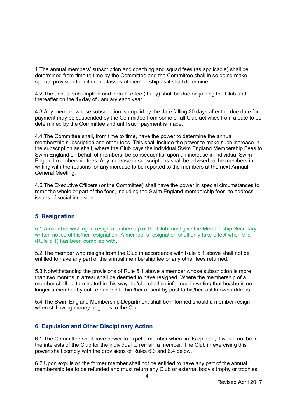1 The annual members' subscription and coaching and squad fees (as applicable) shall be determined from time to time by the Committee and the Committee shall in so doing make special provision for different classes of membership as it shall determine.

4.2 The annual subscription and entrance fee (if any) shall be due on joining the Club and thereafter on the 1st day of January each year.

4.3 Any member whose subscription is unpaid by the date falling 30 days after the due date for payment may be suspended by the Committee from some or all Club activities from a date to be determined by the Committee and until such payment is made.

4.4 The Committee shall, from time to time, have the power to determine the annual membership subscription and other fees. This shall include the power to make such increase in the subscription as shall, where the Club pays the individual Swim England Membership Fees to Swim England on behalf of members, be consequential upon an increase in individual Swim England membership fees. Any increase in subscriptions shall be advised to the members in writing with the reasons for any increase to be reported to the members at the next Annual General Meeting.

4.5 The Executive Officers (or the Committee) shall have the power in special circumstances to remit the whole or part of the fees, including the Swim England membership fees, to address issues of social inclusion.

#### 5. Resignation

5.1 A member wishing to resign membership of the Club must give the Membership Secretary written notice of his/her resignation. A member's resignation shall only take effect when this (Rule 5.1) has been complied with.

5.2 The member who resigns from the Club in accordance with Rule 5.1 above shall not be entitled to have any part of the annual membership fee or any other fees returned.

5.3 Notwithstanding the provisions of Rule 5.1 above a member whose subscription is more than two months in arrear shall be deemed to have resigned. Where the membership of a member shall be terminated in this way, he/she shall be informed in writing that he/she is no longer a member by notice handed to him/her or sent by post to his/her last known address.

5.4 The Swim England Membership Department shall be informed should a member resign when still owing money or goods to the Club.

## 6. Expulsion and Other Disciplinary Action

6.1 The Committee shall have power to expel a member when, in its opinion, it would not be in the interests of the Club for the individual to remain a member. The Club in exercising this power shall comply with the provisions of Rules 6.3 and 6.4 below.

6.2 Upon expulsion the former member shall not be entitled to have any part of the annual membership fee to be refunded and must return any Club or external body's trophy or trophies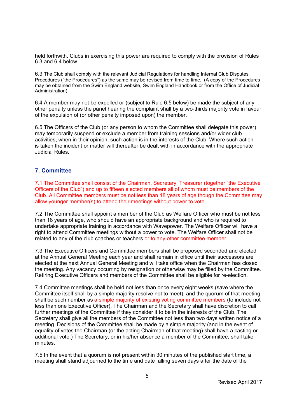held forthwith. Clubs in exercising this power are required to comply with the provision of Rules 6.3 and 6.4 below.

6.3 The Club shall comply with the relevant Judicial Regulations for handling Internal Club Disputes Procedures ("the Procedures") as the same may be revised from time to time. (A copy of the Procedures may be obtained from the Swim England website, Swim England Handbook or from the Office of Judicial Administration)

6.4 A member may not be expelled or (subject to Rule 6.5 below) be made the subject of any other penalty unless the panel hearing the complaint shall by a two-thirds majority vote in favour of the expulsion of (or other penalty imposed upon) the member.

6.5 The Officers of the Club (or any person to whom the Committee shall delegate this power) may temporarily suspend or exclude a member from training sessions and/or wider club activities, when in their opinion, such action is in the interests of the Club. Where such action is taken the incident or matter will thereafter be dealt with in accordance with the appropriate Judicial Rules.

## 7. Committee

7.1 The Committee shall consist of the Chairman, Secretary, Treasurer (together "the Executive Officers of the Club") and up to fifteen elected members all of whom must be members of the Club. All Committee members must be not less than 18 years of age though the Committee may allow younger member(s) to attend their meetings without power to vote.

7.2 The Committee shall appoint a member of the Club as Welfare Officer who must be not less than 18 years of age, who should have an appropriate background and who is required to undertake appropriate training in accordance with Wavepower. The Welfare Officer will have a right to attend Committee meetings without a power to vote. The Welfare Officer shall not be related to any of the club coaches or teachers or to any other committee member.

7.3 The Executive Officers and Committee members shall be proposed seconded and elected at the Annual General Meeting each year and shall remain in office until their successors are elected at the next Annual General Meeting and will take office when the Chairman has closed the meeting. Any vacancy occurring by resignation or otherwise may be filled by the Committee. Retiring Executive Officers and members of the Committee shall be eligible for re-election.

7.4 Committee meetings shall be held not less than once every eight weeks (save where the Committee itself shall by a simple majority resolve not to meet), and the quorum of that meeting shall be such number as a simple majority of existing voting committee members (to include not less than one Executive Officer). The Chairman and the Secretary shall have discretion to call further meetings of the Committee if they consider it to be in the interests of the Club. The Secretary shall give all the members of the Committee not less than two days written notice of a meeting. Decisions of the Committee shall be made by a simple majority (and in the event of equality of votes the Chairman (or the acting Chairman of that meeting) shall have a casting or additional vote.) The Secretary, or in his/her absence a member of the Committee, shall take minutes.

7.5 In the event that a quorum is not present within 30 minutes of the published start time, a meeting shall stand adjourned to the time and date falling seven days after the date of the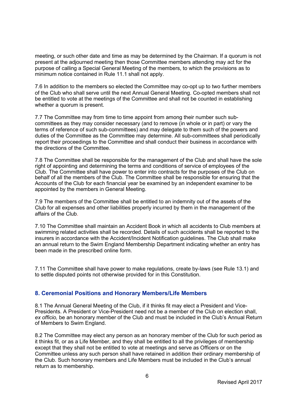meeting, or such other date and time as may be determined by the Chairman. If a quorum is not present at the adjourned meeting then those Committee members attending may act for the purpose of calling a Special General Meeting of the members, to which the provisions as to minimum notice contained in Rule 11.1 shall not apply.

7.6 In addition to the members so elected the Committee may co-opt up to two further members of the Club who shall serve until the next Annual General Meeting. Co-opted members shall not be entitled to vote at the meetings of the Committee and shall not be counted in establishing whether a quorum is present.

7.7 The Committee may from time to time appoint from among their number such subcommittees as they may consider necessary (and to remove (in whole or in part) or vary the terms of reference of such sub-committees) and may delegate to them such of the powers and duties of the Committee as the Committee may determine. All sub-committees shall periodically report their proceedings to the Committee and shall conduct their business in accordance with the directions of the Committee.

7.8 The Committee shall be responsible for the management of the Club and shall have the sole right of appointing and determining the terms and conditions of service of employees of the Club. The Committee shall have power to enter into contracts for the purposes of the Club on behalf of all the members of the Club. The Committee shall be responsible for ensuring that the Accounts of the Club for each financial year be examined by an independent examiner to be appointed by the members in General Meeting.

7.9 The members of the Committee shall be entitled to an indemnity out of the assets of the Club for all expenses and other liabilities properly incurred by them in the management of the affairs of the Club.

7.10 The Committee shall maintain an Accident Book in which all accidents to Club members at swimming related activities shall be recorded. Details of such accidents shall be reported to the insurers in accordance with the Accident/Incident Notification guidelines. The Club shall make an annual return to the Swim England Membership Department indicating whether an entry has been made in the prescribed online form.

7.11 The Committee shall have power to make regulations, create by-laws (see Rule 13.1) and to settle disputed points not otherwise provided for in this Constitution.

## 8. Ceremonial Positions and Honorary Members/Life Members

8.1 The Annual General Meeting of the Club, if it thinks fit may elect a President and Vice-Presidents. A President or Vice-President need not be a member of the Club on election shall, ex officio, be an honorary member of the Club and must be included in the Club's Annual Return of Members to Swim England.

8.2 The Committee may elect any person as an honorary member of the Club for such period as it thinks fit, or as a Life Member, and they shall be entitled to all the privileges of membership except that they shall not be entitled to vote at meetings and serve as Officers or on the Committee unless any such person shall have retained in addition their ordinary membership of the Club. Such honorary members and Life Members must be included in the Club's annual return as to membership.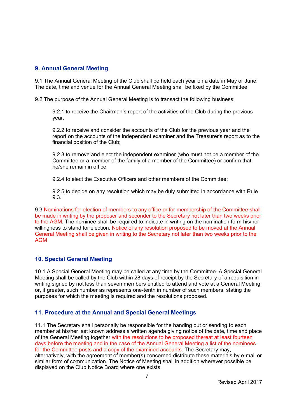## 9. Annual General Meeting

9.1 The Annual General Meeting of the Club shall be held each year on a date in May or June. The date, time and venue for the Annual General Meeting shall be fixed by the Committee.

9.2 The purpose of the Annual General Meeting is to transact the following business:

9.2.1 to receive the Chairman's report of the activities of the Club during the previous year;

9.2.2 to receive and consider the accounts of the Club for the previous year and the report on the accounts of the independent examiner and the Treasurer's report as to the financial position of the Club;

9.2.3 to remove and elect the independent examiner (who must not be a member of the Committee or a member of the family of a member of the Committee) or confirm that he/she remain in office;

9.2.4 to elect the Executive Officers and other members of the Committee;

9.2.5 to decide on any resolution which may be duly submitted in accordance with Rule 9.3.

9.3 Nominations for election of members to any office or for membership of the Committee shall be made in writing by the proposer and seconder to the Secretary not later than two weeks prior to the AGM. The nominee shall be required to indicate in writing on the nomination form his/her willingness to stand for election. Notice of any resolution proposed to be moved at the Annual General Meeting shall be given in writing to the Secretary not later than two weeks prior to the AGM

## 10. Special General Meeting

10.1 A Special General Meeting may be called at any time by the Committee. A Special General Meeting shall be called by the Club within 28 days of receipt by the Secretary of a requisition in writing signed by not less than seven members entitled to attend and vote at a General Meeting or, if greater, such number as represents one-tenth in number of such members, stating the purposes for which the meeting is required and the resolutions proposed.

## 11. Procedure at the Annual and Special General Meetings

11.1 The Secretary shall personally be responsible for the handing out or sending to each member at his/her last known address a written agenda giving notice of the date, time and place of the General Meeting together with the resolutions to be proposed thereat at least fourteen days before the meeting and in the case of the Annual General Meeting a list of the nominees for the Committee posts and a copy of the examined accounts. The Secretary may, alternatively, with the agreement of member(s) concerned distribute these materials by e-mail or similar form of communication. The Notice of Meeting shall in addition wherever possible be displayed on the Club Notice Board where one exists.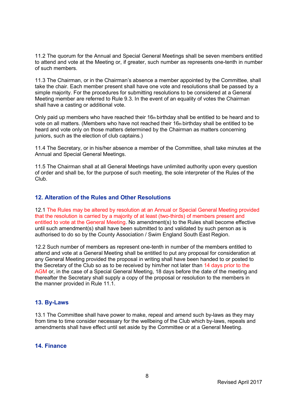11.2 The quorum for the Annual and Special General Meetings shall be seven members entitled to attend and vote at the Meeting or, if greater, such number as represents one-tenth in number of such members.

11.3 The Chairman, or in the Chairman's absence a member appointed by the Committee, shall take the chair. Each member present shall have one vote and resolutions shall be passed by a simple majority. For the procedures for submitting resolutions to be considered at a General Meeting member are referred to Rule 9.3. In the event of an equality of votes the Chairman shall have a casting or additional vote.

Only paid up members who have reached their  $16<sub>th</sub>$  birthday shall be entitled to be heard and to vote on all matters. (Members who have not reached their 16th birthday shall be entitled to be heard and vote only on those matters determined by the Chairman as matters concerning juniors, such as the election of club captains.)

11.4 The Secretary, or in his/her absence a member of the Committee, shall take minutes at the Annual and Special General Meetings.

11.5 The Chairman shall at all General Meetings have unlimited authority upon every question of order and shall be, for the purpose of such meeting, the sole interpreter of the Rules of the Club.

# 12. Alteration of the Rules and Other Resolutions

12.1 The Rules may be altered by resolution at an Annual or Special General Meeting provided that the resolution is carried by a majority of at least (two-thirds) of members present and entitled to vote at the General Meeting. No amendment(s) to the Rules shall become effective until such amendment(s) shall have been submitted to and validated by such person as is authorised to do so by the County Association / Swim England South East Region.

12.2 Such number of members as represent one-tenth in number of the members entitled to attend and vote at a General Meeting shall be entitled to put any proposal for consideration at any General Meeting provided the proposal in writing shall have been handed to or posted to the Secretary of the Club so as to be received by him/her not later than 14 days prior to the AGM or, in the case of a Special General Meeting, 18 days before the date of the meeting and thereafter the Secretary shall supply a copy of the proposal or resolution to the members in the manner provided in Rule 11.1.

#### 13. By-Laws

13.1 The Committee shall have power to make, repeal and amend such by-laws as they may from time to time consider necessary for the wellbeing of the Club which by-laws, repeals and amendments shall have effect until set aside by the Committee or at a General Meeting.

#### 14. Finance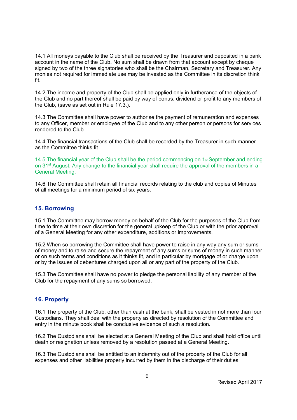14.1 All moneys payable to the Club shall be received by the Treasurer and deposited in a bank account in the name of the Club. No sum shall be drawn from that account except by cheque signed by two of the three signatories who shall be the Chairman, Secretary and Treasurer. Any monies not required for immediate use may be invested as the Committee in its discretion think fit.

14.2 The income and property of the Club shall be applied only in furtherance of the objects of the Club and no part thereof shall be paid by way of bonus, dividend or profit to any members of the Club, (save as set out in Rule 17.3.).

14.3 The Committee shall have power to authorise the payment of remuneration and expenses to any Officer, member or employee of the Club and to any other person or persons for services rendered to the Club.

14.4 The financial transactions of the Club shall be recorded by the Treasurer in such manner as the Committee thinks fit.

14.5 The financial year of the Club shall be the period commencing on  $1_{st}$  September and ending on 31<sup>st</sup> August. Any change to the financial year shall require the approval of the members in a General Meeting.

14.6 The Committee shall retain all financial records relating to the club and copies of Minutes of all meetings for a minimum period of six years.

#### 15. Borrowing

15.1 The Committee may borrow money on behalf of the Club for the purposes of the Club from time to time at their own discretion for the general upkeep of the Club or with the prior approval of a General Meeting for any other expenditure, additions or improvements.

15.2 When so borrowing the Committee shall have power to raise in any way any sum or sums of money and to raise and secure the repayment of any sums or sums of money in such manner or on such terms and conditions as it thinks fit, and in particular by mortgage of or charge upon or by the issues of debentures charged upon all or any part of the property of the Club.

15.3 The Committee shall have no power to pledge the personal liability of any member of the Club for the repayment of any sums so borrowed.

## 16. Property

16.1 The property of the Club, other than cash at the bank, shall be vested in not more than four Custodians. They shall deal with the property as directed by resolution of the Committee and entry in the minute book shall be conclusive evidence of such a resolution.

16.2 The Custodians shall be elected at a General Meeting of the Club and shall hold office until death or resignation unless removed by a resolution passed at a General Meeting.

16.3 The Custodians shall be entitled to an indemnity out of the property of the Club for all expenses and other liabilities properly incurred by them in the discharge of their duties.